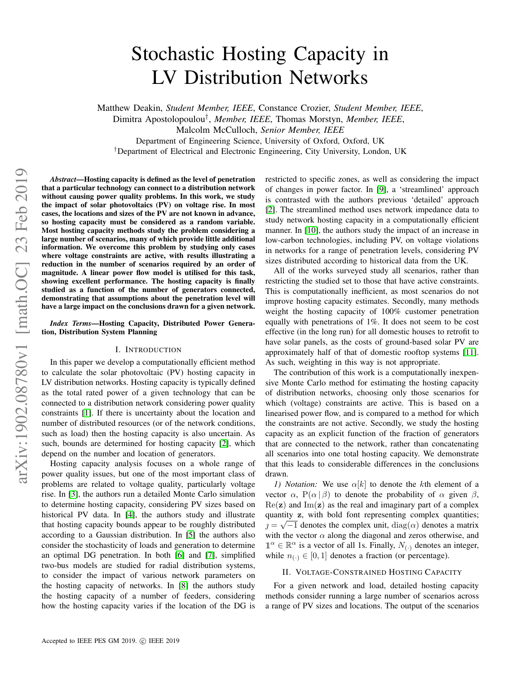# Stochastic Hosting Capacity in LV Distribution Networks

Matthew Deakin, *Student Member, IEEE*, Constance Crozier, *Student Member, IEEE*,

Dimitra Apostolopoulou*†*, *Member, IEEE*, Thomas Morstyn, *Member, IEEE*,

Malcolm McCulloch, *Senior Member, IEEE*

Department of Engineering Science, University of Oxford, Oxford, UK

*†*Department of Electrical and Electronic Engineering, City University, London, UK

*Abstract*—Hosting capacity is defined as the level of penetration that a particular technology can connect to a distribution network without causing power quality problems. In this work, we study the impact of solar photovoltaics (PV) on voltage rise. In most cases, the locations and sizes of the PV are not known in advance, so hosting capacity must be considered as a random variable. Most hosting capacity methods study the problem considering a large number of scenarios, many of which provide little additional information. We overcome this problem by studying only cases where voltage constraints are active, with results illustrating a reduction in the number of scenarios required by an order of magnitude. A linear power flow model is utilised for this task, showing excellent performance. The hosting capacity is finally studied as a function of the number of generators connected, demonstrating that assumptions about the penetration level will have a large impact on the conclusions drawn for a given network.

*Index Terms*—Hosting Capacity, Distributed Power Generation, Distribution System Planning

### I. INTRODUCTION

In this paper we develop a computationally efficient method to calculate the solar photovoltaic (PV) hosting capacity in LV distribution networks. Hosting capacity is typically defined as the total rated power of a given technology that can be connected to a distribution network considering power quality constraints  $[1]$ . If there is uncertainty about the location and number of distributed resources (or of the network conditions, such as load) then the hosting capacity is also uncertain. As such, bounds are determined for hosting capacity  $[2]$ , which depend on the number and location of generators.

Hosting capacity analysis focuses on a whole range of power quality issues, but one of the most important class of problems are related to voltage quality, particularly voltage rise. In  $\boxed{3}$ , the authors run a detailed Monte Carlo simulation to determine hosting capacity, considering PV sizes based on historical PV data. In  $[4]$ , the authors study and illustrate that hosting capacity bounds appear to be roughly distributed according to a Gaussian distribution. In  $\overline{5}$  the authors also consider the stochasticity of loads and generation to determine an optimal DG penetration. In both  $\overline{6}$  and  $\overline{7}$ , simplified two-bus models are studied for radial distribution systems, to consider the impact of various network parameters on the hosting capacity of networks. In  $\begin{bmatrix} 8 \\ 1 \end{bmatrix}$  the authors study the hosting capacity of a number of feeders, considering how the hosting capacity varies if the location of the DG is restricted to specific zones, as well as considering the impact of changes in power factor. In [9], a 'streamlined' approach is contrasted with the authors previous 'detailed' approach [2]. The streamlined method uses network impedance data to study network hosting capacity in a computationally efficient manner. In [10], the authors study the impact of an increase in low-carbon technologies, including PV, on voltage violations in networks for a range of penetration levels, considering PV sizes distributed according to historical data from the UK.

All of the works surveyed study all scenarios, rather than restricting the studied set to those that have active constraints. This is computationally inefficient, as most scenarios do not improve hosting capacity estimates. Secondly, many methods weight the hosting capacity of 100% customer penetration equally with penetrations of 1%. It does not seem to be cost effective (in the long run) for all domestic houses to retrofit to have solar panels, as the costs of ground-based solar PV are approximately half of that of domestic rooftop systems [11]. As such, weighting in this way is not appropriate.

The contribution of this work is a computationally inexpensive Monte Carlo method for estimating the hosting capacity of distribution networks, choosing only those scenarios for which (voltage) constraints are active. This is based on a linearised power flow, and is compared to a method for which the constraints are not active. Secondly, we study the hosting capacity as an explicit function of the fraction of generators that are connected to the network, rather than concatenating all scenarios into one total hosting capacity. We demonstrate that this leads to considerable differences in the conclusions drawn.

*1) Notation:* We use  $\alpha[k]$  to denote the *k*th element of a vector  $\alpha$ , P( $\alpha | \beta$ ) to denote the probability of  $\alpha$  given  $\beta$ ,  $\text{Re}(\mathbf{z})$  and  $\text{Im}(\mathbf{z})$  as the real and imaginary part of a complex quantity z, with bold font representing complex quantities;  $p = \sqrt{-1}$  denotes the complex unit, diag( $\alpha$ ) denotes a matrix with the vector  $\alpha$  along the diagonal and zeros otherwise, and  $\mathbb{1}^{\alpha} \in \mathbb{R}^{\alpha}$  is a vector of all 1s. Finally,  $N_{(.)}$  denotes an integer, while  $n_{\ell} \in [0, 1]$  denotes a fraction (or percentage).

#### II. VOLTAGE-CONSTRAINED HOSTING CAPACITY

For a given network and load, detailed hosting capacity methods consider running a large number of scenarios across a range of PV sizes and locations. The output of the scenarios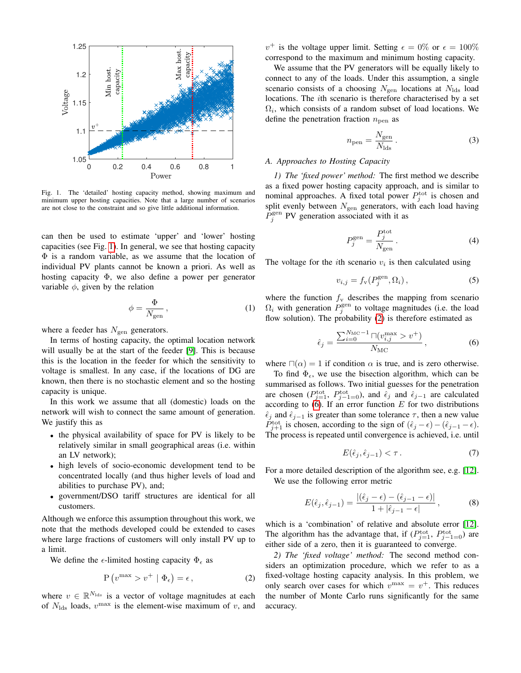

Fig. 1. The 'detailed' hosting capacity method, showing maximum and minimum upper hosting capacities. Note that a large number of scenarios are not close to the constraint and so give little additional information.

can then be used to estimate 'upper' and 'lower' hosting capacities (see Fig.  $\overline{1}$ ). In general, we see that hosting capacity  $\Phi$  is a random variable, as we assume that the location of individual PV plants cannot be known a priori. As well as hosting capacity  $\Phi$ , we also define a power per generator variable  $\phi$ , given by the relation

$$
\phi = \frac{\Phi}{N_{\text{gen}}},\tag{1}
$$

where a feeder has *N*<sub>gen</sub> generators.

In terms of hosting capacity, the optimal location network will usually be at the start of the feeder  $[9]$ . This is because this is the location in the feeder for which the sensitivity to voltage is smallest. In any case, if the locations of DG are known, then there is no stochastic element and so the hosting capacity is unique.

In this work we assume that all (domestic) loads on the network will wish to connect the same amount of generation. We justify this as

- *•* the physical availability of space for PV is likely to be relatively similar in small geographical areas (i.e. within an LV network);
- *•* high levels of socio-economic development tend to be concentrated locally (and thus higher levels of load and abilities to purchase PV), and;
- *•* government/DSO tariff structures are identical for all customers.

Although we enforce this assumption throughout this work, we note that the methods developed could be extended to cases where large fractions of customers will only install PV up to a limit.

We define the  $\epsilon$ -limited hosting capacity  $\Phi_{\epsilon}$  as

$$
P(v^{\max} > v^+ | \Phi_{\epsilon}) = \epsilon, \qquad (2)
$$

where  $v \in \mathbb{R}^{N_{\text{lds}}}$  is a vector of voltage magnitudes at each of  $N_{\text{lds}}$  loads,  $v^{\text{max}}$  is the element-wise maximum of *v*, and

 $v^+$  is the voltage upper limit. Setting  $\epsilon = 0\%$  or  $\epsilon = 100\%$ correspond to the maximum and minimum hosting capacity.

We assume that the PV generators will be equally likely to connect to any of the loads. Under this assumption, a single scenario consists of a choosing  $N_{\text{gen}}$  locations at  $N_{\text{lds}}$  load locations. The *i*th scenario is therefore characterised by a set  $\Omega_i$ , which consists of a random subset of load locations. We define the penetration fraction  $n_{\text{pen}}$  as

$$
n_{\text{pen}} = \frac{N_{\text{gen}}}{N_{\text{lds}}}.
$$
 (3)

#### *A. Approaches to Hosting Capacity*

*1) The 'fixed power' method:* The first method we describe as a fixed power hosting capacity approach, and is similar to nominal approaches. A fixed total power  $P_j^{\text{tot}}$  is chosen and split evenly between  $N_{\text{gen}}$  generators, with each load having  $P_j^{\text{gen}}$  PV generation associated with it as

$$
P_j^{\text{gen}} = \frac{P_j^{\text{tot}}}{N_{\text{gen}}} \,. \tag{4}
$$

The voltage for the *i*th scenario  $v_i$  is then calculated using

$$
v_{i,j} = f_{\rm v}(P_j^{\rm gen}, \Omega_i),\tag{5}
$$

where the function  $f_v$  describes the mapping from scenario  $\Omega_i$  with generation  $P_j^{\text{gen}}$  to voltage magnitudes (i.e. the load flow solution). The probability  $(2)$  is therefore estimated as

$$
\hat{\epsilon}_j = \frac{\sum_{i=0}^{N_{\rm MC}-1} \cap (v_{i,j}^{\rm max} > v^+)}{N_{\rm MC}},
$$
\n(6)

where  $\Box(\alpha)=1$  if condition  $\alpha$  is true, and is zero otherwise.

To find  $\Phi_{\epsilon}$ , we use the bisection algorithm, which can be summarised as follows. Two initial guesses for the penetration are chosen  $(P_{j-1}^{\text{tot}}, P_{j-1=0}^{\text{tot}})$ , and  $\hat{\epsilon}_j$  and  $\hat{\epsilon}_{j-1}$  are calculated according to  $\overline{6}$ . If an error function *E* for two distributions  $\hat{\epsilon}_j$  and  $\hat{\epsilon}_{j-1}$  is greater than some tolerance  $\tau$ , then a new value  $P_{j+1}^{\text{tot}}$  is chosen, according to the sign of  $(\hat{\epsilon}_j - \epsilon) - (\hat{\epsilon}_{j-1} - \epsilon)$ . The process is repeated until convergence is achieved, i.e. until

$$
E(\hat{\epsilon}_j, \hat{\epsilon}_{j-1}) < \tau \,. \tag{7}
$$

For a more detailed description of the algorithm see, e.g. [12]. We use the following error metric

$$
E(\hat{\epsilon}_j, \hat{\epsilon}_{j-1}) = \frac{|(\hat{\epsilon}_j - \epsilon) - (\hat{\epsilon}_{j-1} - \epsilon)|}{1 + |\hat{\epsilon}_{j-1} - \epsilon|},
$$
\n(8)

which is a 'combination' of relative and absolute error  $[12]$ . The algorithm has the advantage that, if  $(P_{j=1}^{\text{tot}}, P_{j-1=0}^{\text{tot}})$  are either side of a zero, then it is guaranteed to converge.

*2) The 'fixed voltage' method:* The second method considers an optimization procedure, which we refer to as a fixed-voltage hosting capacity analysis. In this problem, we only search over cases for which  $v^{\text{max}} = v^+$ . This reduces the number of Monte Carlo runs significantly for the same accuracy.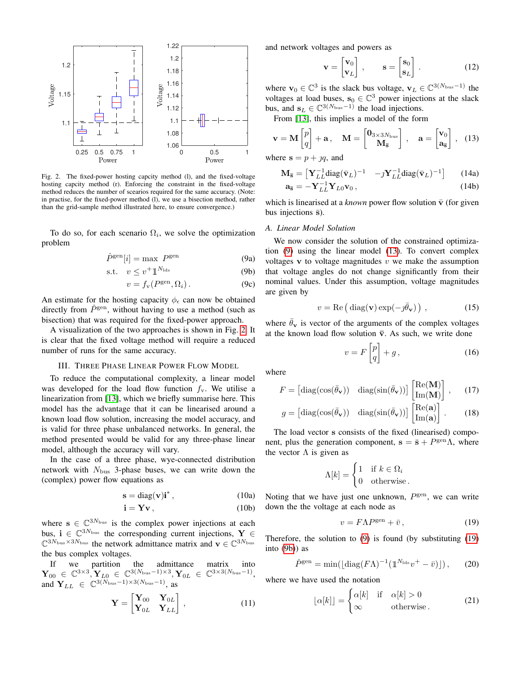

Fig. 2. The fixed-power hosting capcity method (l), and the fixed-voltage hosting capcity method (r). Enforcing the constraint in the fixed-voltage method reduces the number of scearios required for the same accuracy. (Note: in practise, for the fixed-power method (l), we use a bisection method, rather than the grid-sample method illustrated here, to ensure convergence.)

To do so, for each scenario  $\Omega_i$ , we solve the optimization problem

$$
\hat{P}^{\text{gen}}[i] = \max \ P^{\text{gen}} \tag{9a}
$$

$$
\text{s.t.} \quad v \le v^+ \mathbb{1}^{N_{\text{lds}}} \tag{9b}
$$

$$
v = f_{\rm v}(P^{\rm gen}, \Omega_i). \tag{9c}
$$

An estimate for the hosting capacity  $\phi_{\epsilon}$  can now be obtained directly from  $\hat{P}^{\text{gen}}$ , without having to use a method (such as bisection) that was required for the fixed-power approach.

A visualization of the two approaches is shown in Fig.  $2$ . It is clear that the fixed voltage method will require a reduced number of runs for the same accuracy.

## III. THREE PHASE LINEAR POWER FLOW MODEL

To reduce the computational complexity, a linear model was developed for the load flow function  $f_v$ . We utilise a linearization from  $\boxed{13}$ , which we briefly summarise here. This model has the advantage that it can be linearised around a known load flow solution, increasing the model accuracy, and is valid for three phase unbalanced networks. In general, the method presented would be valid for any three-phase linear model, although the accuracy will vary.

In the case of a three phase, wye-connected distribution network with *N*bus 3-phase buses, we can write down the (complex) power flow equations as

$$
\mathbf{s} = \text{diag}(\mathbf{v})\mathbf{i}^*,\tag{10a}
$$

$$
\mathbf{i} = \mathbf{Yv} \,, \tag{10b}
$$

where  $s \in \mathbb{C}^{3N_{\text{bus}}}$  is the complex power injections at each bus,  $i \in \mathbb{C}^{3N_{\text{bus}}}$  the corresponding current injections,  $Y \in$  $\mathbb{C}^{3N_{\text{bus}} \times 3N_{\text{bus}}}$  the network admittance matrix and  $\mathbf{v} \in \mathbb{C}^{3N_{\text{bus}}}$ the bus complex voltages.

If we partition the admittance matrix into  $\mathbf{Y}_{00} \in \mathbb{C}^{3 \times 3}, \mathbf{Y}_{L0} \in \mathbb{C}^{3(N_{\text{bus}}-1) \times 3}, \mathbf{Y}_{0L} \in \mathbb{C}^{3 \times 3(N_{\text{bus}}-1)},$ and  $\mathbf{Y}_{LL} \in \mathbb{C}^{3(N_{\text{bus}}-1)\times3(N_{\text{bus}}-1)},$  as

$$
\mathbf{Y} = \begin{bmatrix} \mathbf{Y}_{00} & \mathbf{Y}_{0L} \\ \mathbf{Y}_{0L} & \mathbf{Y}_{LL} \end{bmatrix}, \tag{11}
$$

and network voltages and powers as

$$
\mathbf{v} = \begin{bmatrix} \mathbf{v}_0 \\ \mathbf{v}_L \end{bmatrix}, \qquad \mathbf{s} = \begin{bmatrix} \mathbf{s}_0 \\ \mathbf{s}_L \end{bmatrix} . \tag{12}
$$

where  $\mathbf{v}_0 \in \mathbb{C}^3$  is the slack bus voltage,  $\mathbf{v}_L \in \mathbb{C}^{3(N_{\text{bus}}-1)}$  the voltages at load buses,  $s_0 \in \mathbb{C}^3$  power injections at the slack bus, and  $\mathbf{s}_L \in \mathbb{C}^{3(N_{\text{bus}}-1)}$  the load injections.

From [13], this implies a model of the form

$$
\mathbf{v} = \mathbf{M} \begin{bmatrix} p \\ q \end{bmatrix} + \mathbf{a}, \quad \mathbf{M} = \begin{bmatrix} \mathbf{0}_{3 \times 3N_{\text{bus}}}\\ \mathbf{M}_{\overline{s}} \end{bmatrix}, \quad \mathbf{a} = \begin{bmatrix} \mathbf{v}_0\\ \mathbf{a}_{\overline{s}} \end{bmatrix}, \quad (13)
$$

where  $s = p + yq$ , and

$$
\mathbf{M}_{\overline{\mathbf{s}}} = \begin{bmatrix} \mathbf{Y}_{LL}^{-1} \text{diag}(\overline{\mathbf{v}}_L)^{-1} & -\jmath \mathbf{Y}_{LL}^{-1} \text{diag}(\overline{\mathbf{v}}_L)^{-1} \end{bmatrix} \qquad (14a)
$$

$$
\mathbf{a}_{\bar{\mathbf{s}}} = -\mathbf{Y}_{LL}^{-1} \mathbf{Y}_{L0} \mathbf{v}_0, \qquad (14b)
$$

which is linearised at a *known* power flow solution  $\bar{v}$  (for given bus injections  $\bar{s}$ ).

## *A. Linear Model Solution*

We now consider the solution of the constrained optimization  $\overline{9}$  using the linear model  $\overline{13}$ . To convert complex voltages v to voltage magnitudes *v* we make the assumption that voltage angles do not change significantly from their nominal values. Under this assumption, voltage magnitudes are given by

$$
v = \text{Re}\left(\text{diag}(\mathbf{v})\exp(-j\bar{\theta}_{\mathbf{v}})\right),\tag{15}
$$

where  $\theta_{\mathbf{v}}$  is vector of the arguments of the complex voltages at the known load flow solution  $\bar{v}$ . As such, we write done

$$
v = F\begin{bmatrix} p \\ q \end{bmatrix} + g\,,\tag{16}
$$

where

$$
F = \begin{bmatrix} \text{diag}(\cos(\bar{\theta}_{\mathbf{v}})) & \text{diag}(\sin(\bar{\theta}_{\mathbf{v}}))] \begin{bmatrix} \text{Re}(\mathbf{M}) \\ \text{Im}(\mathbf{M}) \end{bmatrix}, \quad (17)
$$

$$
g = \begin{bmatrix} \text{diag}(\cos(\bar{\theta}_{\mathbf{v}})) & \text{diag}(\sin(\bar{\theta}_{\mathbf{v}}))] \begin{bmatrix} \text{Re}(\mathbf{a}) \\ \text{Im}(\mathbf{a}) \end{bmatrix}. \end{bmatrix} . \tag{18}
$$

The load vector s consists of the fixed (linearised) component, plus the generation component,  $s = \bar{s} + P^{\text{gen}}\Lambda$ , where the vector  $\Lambda$  is given as

$$
\Lambda[k] = \begin{cases} 1 & \text{if } k \in \Omega_i \\ 0 & \text{otherwise} \end{cases}
$$

Noting that we have just one unknown,  $P<sup>gen</sup>$ , we can write down the the voltage at each node as

$$
v = F\Lambda P^{\text{gen}} + \bar{v},\tag{19}
$$

Therefore, the solution to  $\overline{9}$  is found (by substituting  $\overline{19}$ ) into  $(9b)$  as

$$
\hat{P}^{\text{gen}} = \min(\left[\text{diag}(F\Lambda)^{-1}(\mathbb{1}^{N_{\text{lds}}}v^{+}-\bar{v})\right]),\qquad(20)
$$

where we have used the notation

$$
\lfloor \alpha[k] \rfloor = \begin{cases} \alpha[k] & \text{if } \alpha[k] > 0 \\ \infty & \text{otherwise.} \end{cases} \tag{21}
$$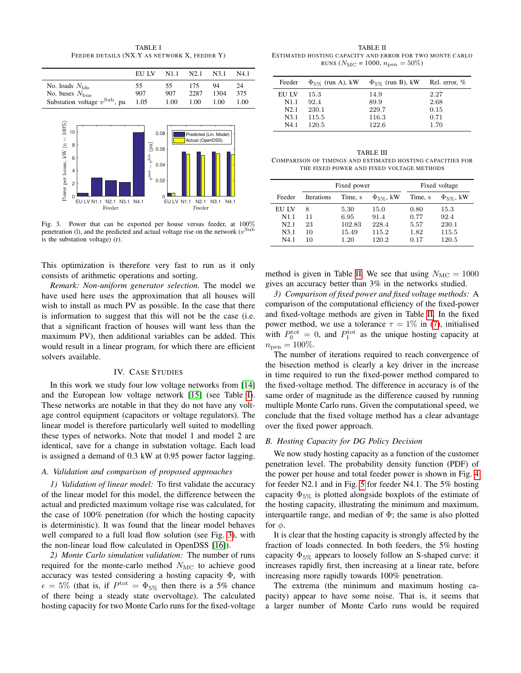TABLE I FEEDER DETAILS (NX.Y AS NETWORK X, FEEDER Y)



Fig. 3. Power that can be exported per house versus feeder, at 100% penetration (1), and the predicted and actual voltage rise on the network  $(v^{\text{Sub}})$ is the substation voltage) (r).

This optimization is therefore very fast to run as it only consists of arithmetic operations and sorting.

*Remark: Non-uniform generator selection.* The model we have used here uses the approximation that all houses will wish to install as much PV as possible. In the case that there is information to suggest that this will not be the case (i.e. that a significant fraction of houses will want less than the maximum PV), then additional variables can be added. This would result in a linear program, for which there are efficient solvers available.

#### IV. CASE STUDIES

In this work we study four low voltage networks from [14] and the European low voltage network  $[15]$  (see Table II). These networks are notable in that they do not have any voltage control equipment (capacitors or voltage regulators). The linear model is therefore particularly well suited to modelling these types of networks. Note that model 1 and model 2 are identical, save for a change in substation voltage. Each load is assigned a demand of 0.3 kW at 0.95 power factor lagging.

# *A. Validation and comparison of proposed approaches*

*1) Validation of linear model:* To first validate the accuracy of the linear model for this model, the difference between the actual and predicted maximum voltage rise was calculated, for the case of 100% penetration (for which the hosting capacity is deterministic). It was found that the linear model behaves well compared to a full load flow solution (see Fig.  $\overline{3}$ ), with the non-linear load flow calculated in OpenDSS  $[16]$ .

*2) Monte Carlo simulation validation:* The number of runs required for the monte-carlo method  $N_{\text{MC}}$  to achieve good accuracy was tested considering a hosting capacity  $\Phi_{\epsilon}$  with  $\epsilon = 5\%$  (that is, if  $P<sup>tot</sup> = \Phi_{5\%}$  then there is a 5% chance of there being a steady state overvoltage). The calculated hosting capacity for two Monte Carlo runs for the fixed-voltage

TABLE II ESTIMATED HOSTING CAPACITY AND ERROR FOR TWO MONTE CARLO RUNS ( $N_{\text{MC}} = 1000$ ,  $n_{\text{pen}} = 50\%$ )

| Feeder           | $\Phi_{5\%}$ (run A), kW | $\Phi_{5\%}$ (run B), kW | Rel. error, % |
|------------------|--------------------------|--------------------------|---------------|
| EU LV            | 15.3                     | 14.9                     | 2.27          |
| N <sub>1.1</sub> | 92.4                     | 89.9                     | 2.68          |
| N2.1             | 230.1                    | 229.7                    | 0.15          |
| N3.1             | 115.5                    | 116.3                    | 0.71          |
| N4.1             | 120.5                    | 122.6                    | 1.70          |

TABLE III COMPARISON OF TIMINGS AND ESTIMATED HOSTING CAPACITIES FOR THE FIXED POWER AND FIXED VOLTAGE METHODS

|                  | Fixed power |         |                            | Fixed voltage |                            |
|------------------|-------------|---------|----------------------------|---------------|----------------------------|
| Feeder           | Iterations  | Time, s | $\Phi_{5\%}, \, \text{kW}$ | Time, s       | $\Phi_{5\%}, \, \text{kW}$ |
| EU LV            | 8           | 5.30    | 15.0                       | 0.80          | 15.3                       |
| N <sub>1.1</sub> | 11          | 6.95    | 91.4                       | 0.77          | 92.4                       |
| N2.1             | 23          | 102.83  | 228.4                      | 5.57          | 230.1                      |
| N3.1             | 10          | 15.49   | 115.2                      | 1.82          | 115.5                      |
| N4.1             | 10          | 1.20    | 120.2                      | 0.17          | 120.5                      |

method is given in Table  $\overline{II}$ . We see that using  $N_{\text{MC}} = 1000$ gives an accuracy better than 3% in the networks studied.

*3) Comparison of fixed power and fixed voltage methods:* A comparison of the computational efficiency of the fixed-power and fixed-voltage methods are given in Table  $\overline{II}$ . In the fixed power method, we use a tolerance  $\tau = 1\%$  in (7), initialised with  $P_0^{\text{tot}} = 0$ , and  $P_1^{\text{tot}}$  as the unique hosting capacity at  $n_{\text{pen}} = 100\%.$ 

The number of iterations required to reach convergence of the bisection method is clearly a key driver in the increase in time required to run the fixed-power method compared to the fixed-voltage method. The difference in accuracy is of the same order of magnitude as the difference caused by running multiple Monte Carlo runs. Given the computational speed, we conclude that the fixed voltage method has a clear advantage over the fixed power approach.

#### *B. Hosting Capacity for DG Policy Decision*

We now study hosting capacity as a function of the customer penetration level. The probability density function (PDF) of the power per house and total feeder power is shown in Fig.  $\overline{4}$ for feeder N2.1 and in Fig.  $\overline{5}$  for feeder N4.1. The 5% hosting capacity  $\Phi_{5\%}$  is plotted alongside boxplots of the estimate of the hosting capacity, illustrating the minimum and maximum, interquartile range, and median of  $\Phi$ ; the same is also plotted for  $\phi$ .

It is clear that the hosting capacity is strongly affected by the fraction of loads connected. In both feeders, the 5% hosting capacity  $\Phi_{5\%}$  appears to loosely follow an S-shaped curve: it increases rapidly first, then increasing at a linear rate, before increasing more rapidly towards 100% penetration.

The extrema (the minimum and maximum hosting capacity) appear to have some noise. That is, it seems that a larger number of Monte Carlo runs would be required